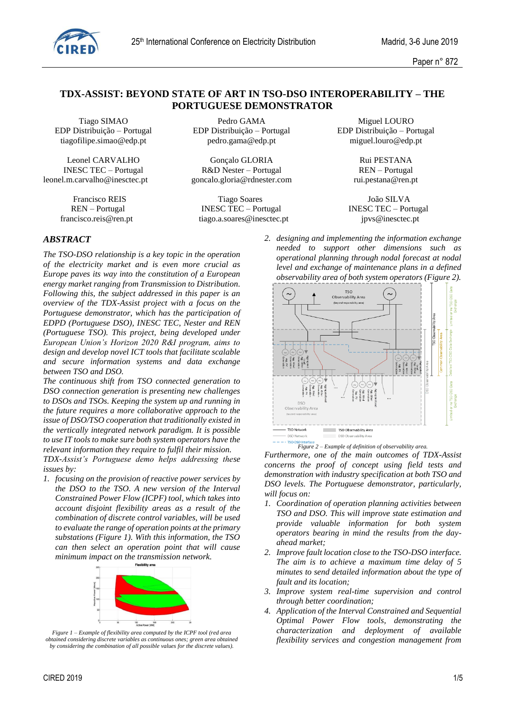

Paper n° 872

# **TDX-ASSIST: BEYOND STATE OF ART IN TSO-DSO INTEROPERABILITY – THE PORTUGUESE DEMONSTRATOR**

EDP Distribuição – Portugal EDP Distribuição – Portugal EDP Distribuição – Portugal

leonel.m.carvalho@inesctec.pt goncalo.gloria@rdnester.com rui.pestana@ren.pt

Tiago SIMAO Pedro GAMA Miguel LOURO tiagofilipe.simao@edp.pt pedro.gama@edp.pt miguel.louro@edp.pt

Leonel CARVALHO Gonçalo GLORIA Rui PESTANA INESC TEC – Portugal R&D Nester – Portugal REN – Portugal

 Francisco REIS Tiago Soares João SILVA REN – Portugal INESC TEC – Portugal INESC TEC – Portugal [francisco.reis@ren.pt](mailto:francisco.reis@ren.pt) [tiago.a.soares@inesctec.pt](mailto:tiago.a.soares@inesctec.pt) ipvs@inesctec.pt ipvs@inesctec.pt

# *ABSTRACT*

*The TSO-DSO relationship is a key topic in the operation of the electricity market and is even more crucial as Europe paves its way into the constitution of a European energy market ranging from Transmission to Distribution. Following this, the subject addressed in this paper is an overview of the TDX-Assist project with a focus on the Portuguese demonstrator, which has the participation of EDPD (Portuguese DSO), INESC TEC, Nester and REN (Portuguese TSO). This project, being developed under European Union's Horizon 2020 R&I program, aims to design and develop novel ICT tools that facilitate scalable and secure information systems and data exchange between TSO and DSO.*

*The continuous shift from TSO connected generation to DSO connection generation is presenting new challenges to DSOs and TSOs. Keeping the system up and running in the future requires a more collaborative approach to the issue of DSO/TSO cooperation that traditionally existed in the vertically integrated network paradigm. It is possible to use IT tools to make sure both system operators have the relevant information they require to fulfil their mission.*

*TDX-Assist's Portuguese demo helps addressing these issues by:*

*1. focusing on the provision of reactive power services by the DSO to the TSO. A new version of the Interval Constrained Power Flow (ICPF) tool, which takes into account disjoint flexibility areas as a result of the combination of discrete control variables, will be used to evaluate the range of operation points at the primary substations (Figure 1). With this information, the TSO can then select an operation point that will cause minimum impact on the transmission network.*



*Figure 1 – Example of flexibility area computed by the ICPF tool (red area obtained considering discrete variables as continuous ones; green area obtained by considering the combination of all possible values for the discrete values).*

*needed to support other dimensions such as operational planning through nodal forecast at nodal level and exchange of maintenance plans in a defined observability area of both system operators (Figure 2).* **TSO** 

*2. designing and implementing the information exchange* 



*Figure 2 – Example of definition of observability area.*

*Furthermore, one of the main outcomes of TDX-Assist concerns the proof of concept using field tests and demonstration with industry specification at both TSO and DSO levels. The Portuguese demonstrator, particularly, will focus on:*

- *1. Coordination of operation planning activities between TSO and DSO. This will improve state estimation and provide valuable information for both system operators bearing in mind the results from the dayahead market;*
- *2. Improve fault location close to the TSO-DSO interface. The aim is to achieve a maximum time delay of 5 minutes to send detailed information about the type of fault and its location;*
- *3. Improve system real-time supervision and control through better coordination;*
- *4. Application of the Interval Constrained and Sequential Optimal Power Flow tools, demonstrating the characterization and deployment of available flexibility services and congestion management from*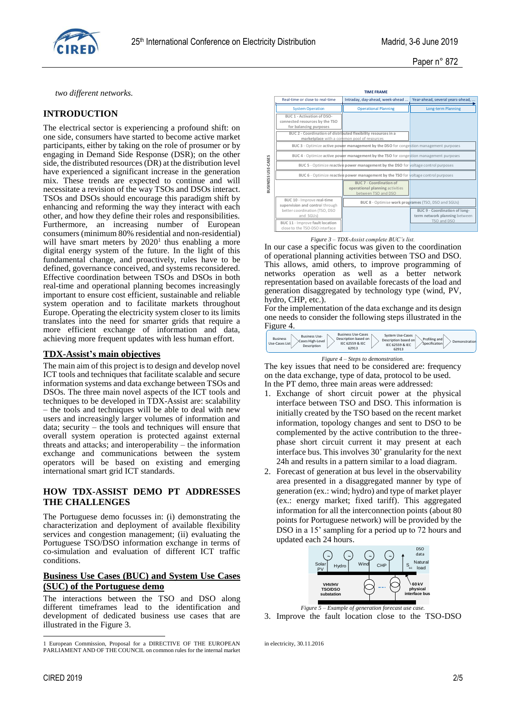

Paper n° 872

*two different networks.*

## **INTRODUCTION**

The electrical sector is experiencing a profound shift: on one side, consumers have started to become active market participants, either by taking on the role of prosumer or by engaging in Demand Side Response (DSR); on the other side, the distributed resources (DR) at the distribution level have experienced a significant increase in the generation mix. These trends are expected to continue and will necessitate a revision of the way TSOs and DSOs interact. TSOs and DSOs should encourage this paradigm shift by enhancing and reforming the way they interact with each other, and how they define their roles and responsibilities. Furthermore, an increasing number of European consumers (minimum 80% residential and non-residential) will have smart meters by  $2020<sup>1</sup>$  thus enabling a more digital energy system of the future. In the light of this fundamental change, and proactively, rules have to be defined, governance conceived, and systems reconsidered. Effective coordination between TSOs and DSOs in both real-time and operational planning becomes increasingly important to ensure cost efficient, sustainable and reliable system operation and to facilitate markets throughout Europe. Operating the electricity system closer to its limits translates into the need for smarter grids that require a more efficient exchange of information and data, achieving more frequent updates with less human effort.

## **TDX-Assist's main objectives**

The main aim of this project is to design and develop novel ICT tools and techniques that facilitate scalable and secure information systems and data exchange between TSOs and DSOs. The three main novel aspects of the ICT tools and techniques to be developed in TDX-Assist are: scalability – the tools and techniques will be able to deal with new users and increasingly larger volumes of information and data; security – the tools and techniques will ensure that overall system operation is protected against external threats and attacks; and interoperability – the information exchange and communications between the system operators will be based on existing and emerging international smart grid ICT standards.

## **HOW TDX-ASSIST DEMO PT ADDRESSES THE CHALLENGES**

The Portuguese demo focusses in: (i) demonstrating the characterization and deployment of available flexibility services and congestion management; (ii) evaluating the Portuguese TSO/DSO information exchange in terms of co-simulation and evaluation of different ICT traffic conditions.

## **Business Use Cases (BUC) and System Use Cases (SUC) of the Portuguese demo**

The interactions between the TSO and DSO along different timeframes lead to the identification and development of dedicated business use cases that are illustrated in the Figure 3.



*Figure 3 – TDX-Assist complete BUC's list.*

In our case a specific focus was given to the coordination of operational planning activities between TSO and DSO. This allows, amid others, to improve programming of networks operation as well as a better network representation based on available forecasts of the load and generation disaggregated by technology type (wind, PV, hydro, CHP, etc.).

For the implementation of the data exchange and its design one needs to consider the following steps illustrated in the Figure 4.



The key issues that need to be considered are: frequency on the data exchange, type of data, protocol to be used. In the PT demo, three main areas were addressed:

- 1. Exchange of short circuit power at the physical interface between TSO and DSO. This information is initially created by the TSO based on the recent market information, topology changes and sent to DSO to be complemented by the active contribution to the threephase short circuit current it may present at each interface bus. This involves 30' granularity for the next 24h and results in a pattern similar to a load diagram.
- 2. Forecast of generation at bus level in the observability area presented in a disaggregated manner by type of generation (ex.: wind; hydro) and type of market player (ex.: energy market; fixed tariff). This aggregated information for all the interconnection points (about 80 points for Portuguese network) will be provided by the DSO in a 15' sampling for a period up to 72 hours and updated each 24 hours.



3. Improve the fault location close to the TSO-DSO

in electricity, 30.11.2016

1

<sup>1</sup> European Commission, Proposal for a DIRECTIVE OF THE EUROPEAN PARLIAMENT AND OF THE COUNCIL on common rules for the internal market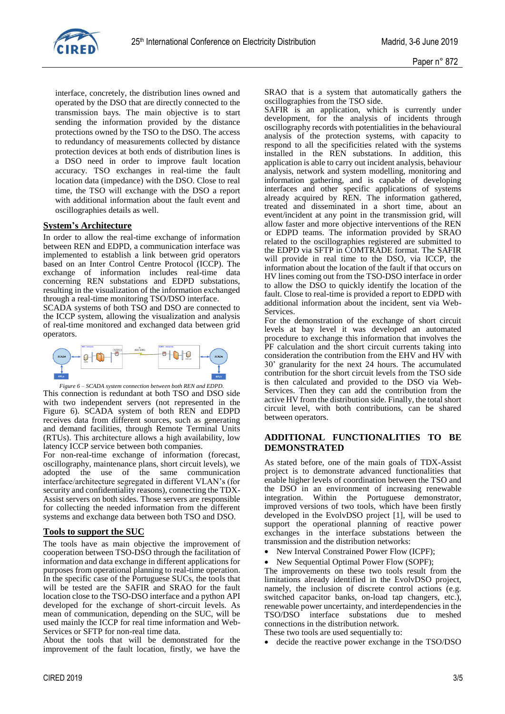

interface, concretely, the distribution lines owned and operated by the DSO that are directly connected to the transmission bays. The main objective is to start sending the information provided by the distance protections owned by the TSO to the DSO. The access to redundancy of measurements collected by distance protection devices at both ends of distribution lines is a DSO need in order to improve fault location accuracy. TSO exchanges in real-time the fault location data (impedance) with the DSO. Close to real time, the TSO will exchange with the DSO a report with additional information about the fault event and oscillographies details as well.

## **System's Architecture**

In order to allow the real-time exchange of information between REN and EDPD, a communication interface was implemented to establish a link between grid operators based on an Inter Control Centre Protocol (ICCP). The exchange of information includes real-time data concerning REN substations and EDPD substations, resulting in the visualization of the information exchanged through a real-time monitoring TSO/DSO interface.

SCADA systems of both TSO and DSO are connected to the ICCP system, allowing the visualization and analysis of real-time monitored and exchanged data between grid operators.



*Figure 6 – SCADA system connection between both REN and EDPD.* This connection is redundant at both TSO and DSO side with two independent servers (not represented in the Figure 6). SCADA system of both REN and EDPD receives data from different sources, such as generating and demand facilities, through Remote Terminal Units (RTUs). This architecture allows a high availability, low latency ICCP service between both companies.

For non-real-time exchange of information (forecast, oscillography, maintenance plans, short circuit levels), we adopted the use of the same communication interface/architecture segregated in different VLAN's (for security and confidentiality reasons), connecting the TDX-Assist servers on both sides. Those servers are responsible for collecting the needed information from the different systems and exchange data between both TSO and DSO.

## **Tools to support the SUC**

The tools have as main objective the improvement of cooperation between TSO-DSO through the facilitation of information and data exchange in different applications for purposes from operational planning to real-time operation. In the specific case of the Portuguese SUCs, the tools that will be tested are the SAFIR and SRAO for the fault location close to the TSO-DSO interface and a python API developed for the exchange of short-circuit levels. As mean of communication, depending on the SUC, will be used mainly the ICCP for real time information and Web-Services or SFTP for non-real time data.

About the tools that will be demonstrated for the improvement of the fault location, firstly, we have the

SRAO that is a system that automatically gathers the oscillographies from the TSO side.

SAFIR is an application, which is currently under development, for the analysis of incidents through oscillography records with potentialities in the behavioural analysis of the protection systems, with capacity to respond to all the specificities related with the systems installed in the REN substations. In addition, this application is able to carry out incident analysis, behaviour analysis, network and system modelling, monitoring and information gathering, and is capable of developing interfaces and other specific applications of systems already acquired by REN. The information gathered, treated and disseminated in a short time, about an event/incident at any point in the transmission grid, will allow faster and more objective interventions of the REN or EDPD teams. The information provided by SRAO related to the oscillographies registered are submitted to the EDPD via SFTP in COMTRADE format. The SAFIR will provide in real time to the DSO, via ICCP, the information about the location of the fault if that occurs on HV lines coming out from the TSO-DSO interface in order to allow the DSO to quickly identify the location of the fault. Close to real-time is provided a report to EDPD with additional information about the incident, sent via Web-Services.

For the demonstration of the exchange of short circuit levels at bay level it was developed an automated procedure to exchange this information that involves the PF calculation and the short circuit currents taking into consideration the contribution from the EHV and HV with 30' granularity for the next 24 hours. The accumulated contribution for the short circuit levels from the TSO side is then calculated and provided to the DSO via Web-Services. Then they can add the contribution from the active HV from the distribution side. Finally, the total short circuit level, with both contributions, can be shared between operators.

## **ADDITIONAL FUNCTIONALITIES TO BE DEMONSTRATED**

As stated before, one of the main goals of TDX-Assist project is to demonstrate advanced functionalities that enable higher levels of coordination between the TSO and the DSO in an environment of increasing renewable integration. Within the Portuguese demonstrator, improved versions of two tools, which have been firstly developed in the EvolvDSO project [1], will be used to support the operational planning of reactive power exchanges in the interface substations between the transmission and the distribution networks:

- New Interval Constrained Power Flow (ICPF);
- New Sequential Optimal Power Flow (SOPF);

The improvements on these two tools result from the limitations already identified in the EvolvDSO project, namely, the inclusion of discrete control actions (e.g. switched capacitor banks, on-load tap changers, etc.), renewable power uncertainty, and interdependencies in the TSO/DSO interface substations due to meshed connections in the distribution network.

These two tools are used sequentially to:

• decide the reactive power exchange in the TSO/DSO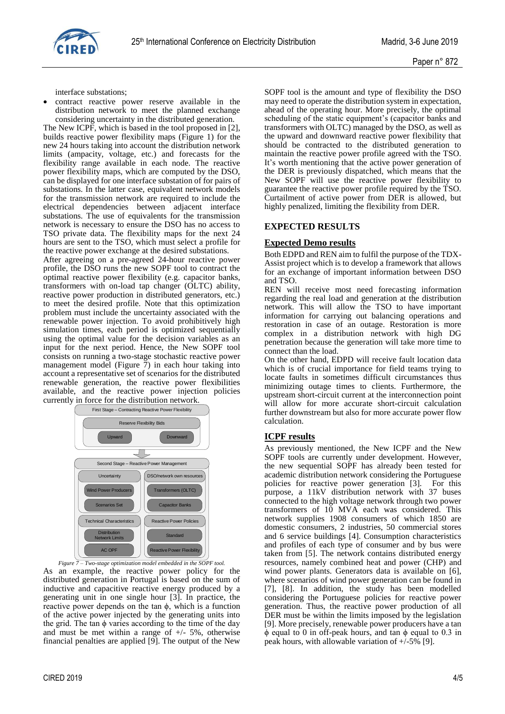

interface substations;

 contract reactive power reserve available in the distribution network to meet the planned exchange considering uncertainty in the distributed generation.

The New ICPF, which is based in the tool proposed in [2], builds reactive power flexibility maps (Figure 1) for the new 24 hours taking into account the distribution network limits (ampacity, voltage, etc.) and forecasts for the flexibility range available in each node. The reactive power flexibility maps, which are computed by the DSO, can be displayed for one interface substation of for pairs of substations. In the latter case, equivalent network models for the transmission network are required to include the electrical dependencies between adjacent interface substations. The use of equivalents for the transmission network is necessary to ensure the DSO has no access to TSO private data. The flexibility maps for the next 24 hours are sent to the TSO, which must select a profile for the reactive power exchange at the desired substations.

After agreeing on a pre-agreed 24-hour reactive power profile, the DSO runs the new SOPF tool to contract the optimal reactive power flexibility (e.g. capacitor banks, transformers with on-load tap changer (OLTC) ability, reactive power production in distributed generators, etc.) to meet the desired profile. Note that this optimization problem must include the uncertainty associated with the renewable power injection. To avoid prohibitively high simulation times, each period is optimized sequentially using the optimal value for the decision variables as an input for the next period. Hence, the New SOPF tool consists on running a two-stage stochastic reactive power management model (Figure 7) in each hour taking into account a representative set of scenarios for the distributed renewable generation, the reactive power flexibilities available, and the reactive power injection policies currently in force for the distribution network.



*Figure 7 – Two-stage optimization model embedded in the SOPF tool.* As an example, the reactive power policy for the distributed generation in Portugal is based on the sum of inductive and capacitive reactive energy produced by a generating unit in one single hour [3]. In practice, the reactive power depends on the tan  $\phi$ , which is a function of the active power injected by the generating units into the grid. The tan  $\phi$  varies according to the time of the day and must be met within a range of  $+/- 5\%$ , otherwise financial penalties are applied [9]. The output of the New

may need to operate the distribution system in expectation, ahead of the operating hour. More precisely, the optimal scheduling of the static equipment's (capacitor banks and transformers with OLTC) managed by the DSO, as well as the upward and downward reactive power flexibility that should be contracted to the distributed generation to maintain the reactive power profile agreed with the TSO. It's worth mentioning that the active power generation of the DER is previously dispatched, which means that the New SOPF will use the reactive power flexibility to guarantee the reactive power profile required by the TSO. Curtailment of active power from DER is allowed, but highly penalized, limiting the flexibility from DER.

SOPF tool is the amount and type of flexibility the DSO

# **EXPECTED RESULTS**

#### **Expected Demo results**

Both EDPD and REN aim to fulfil the purpose of the TDX-Assist project which is to develop a framework that allows for an exchange of important information between DSO and TSO.

REN will receive most need forecasting information regarding the real load and generation at the distribution network. This will allow the TSO to have important information for carrying out balancing operations and restoration in case of an outage. Restoration is more complex in a distribution network with high DG penetration because the generation will take more time to connect than the load.

On the other hand, EDPD will receive fault location data which is of crucial importance for field teams trying to locate faults in sometimes difficult circumstances thus minimizing outage times to clients. Furthermore, the upstream short-circuit current at the interconnection point will allow for more accurate short-circuit calculation further downstream but also for more accurate power flow calculation.

#### **ICPF results**

As previously mentioned, the New ICPF and the New SOPF tools are currently under development. However, the new sequential SOPF has already been tested for academic distribution network considering the Portuguese policies for reactive power generation [3]. For this purpose, a 11kV distribution network with 37 buses connected to the high voltage network through two power transformers of 10 MVA each was considered. This network supplies 1908 consumers of which 1850 are domestic consumers, 2 industries, 50 commercial stores and 6 service buildings [4]. Consumption characteristics and profiles of each type of consumer and by bus were taken from [5]. The network contains distributed energy resources, namely combined heat and power (CHP) and wind power plants. Generators data is available on [6], where scenarios of wind power generation can be found in [7], [8]. In addition, the study has been modelled considering the Portuguese policies for reactive power generation. Thus, the reactive power production of all DER must be within the limits imposed by the legislation [9]. More precisely, renewable power producers have a tan  $\phi$  equal to 0 in off-peak hours, and tan  $\phi$  equal to 0.3 in peak hours, with allowable variation of +/-5% [9].